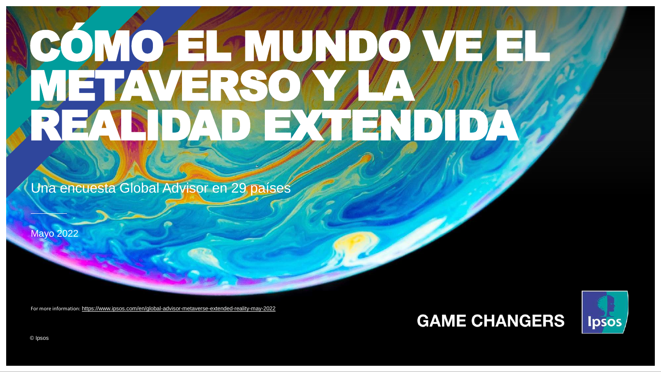# CÓMO EL PALUADO VEZEL **ETAVERSO** REALIDAD EXTENDIDA

Una encuesta Global Advisor en 29 países

Mayo 2022

For more information: <https://www.ipsos.com/en/global-advisor-metaverse-extended-reality-may-2022>

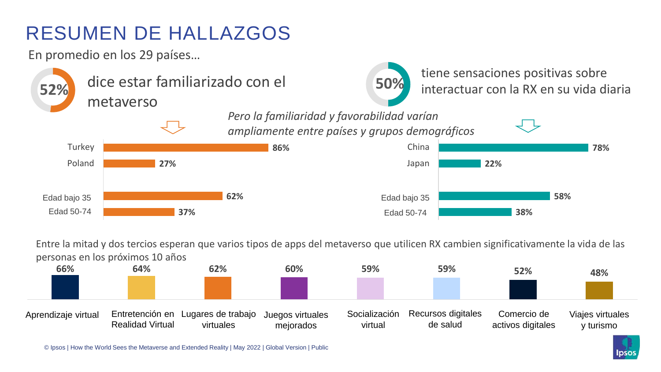### RESUMEN DE HALLAZGOS

En promedio en los 29 países…



Entre la mitad y dos tercios esperan que varios tipos de apps del metaverso que utilicen RX cambien significativamente la vida de las personas en los próximos 10 años





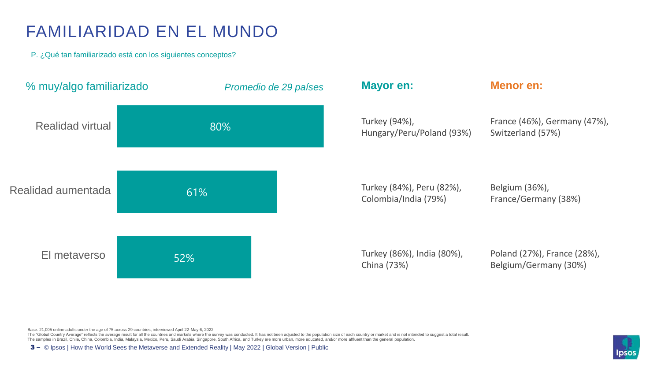#### FAMILIARIDAD EN EL MUNDO

P. ¿Qué tan familiarizado está con los siguientes conceptos?



Base: 21,005 online adults under the age of 75 across 29 countries, interviewed April 22-May 6, 2022

The "Global Country Average" reflects the average result for all the countries and markets where the survey was conducted. It has not been adjusted to the population size of each country or market and is not intended to su

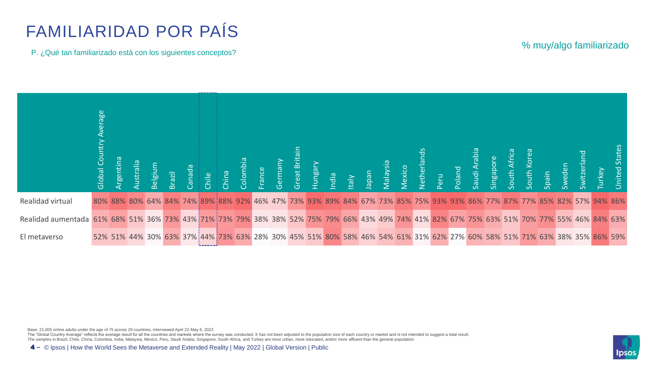### FAMILIARIDAD POR PAÍS

P. ¿Qué tan familiarizado está con los siguientes conceptos?

| % muy/algo familiarizado |
|--------------------------|
|--------------------------|

|                                                                                                                                            | စ္ထ<br>Global Co |  |  |  |  |  |  |  |  |  |  |  |  | Argentina<br>Australia<br>Belgium<br>Canada<br>Colombia<br>Colombia<br>Colombia<br>Germany<br>Hungary<br>Hungary<br>Malaysia<br>Nexico<br>Nexico<br>Peru<br>South Afric<br>South Afric<br>South Afric<br>South Afric<br>South Afric<br>South Afric<br>South Afric<br>South Afric |  | <b>Jnited States</b> |
|--------------------------------------------------------------------------------------------------------------------------------------------|------------------|--|--|--|--|--|--|--|--|--|--|--|--|----------------------------------------------------------------------------------------------------------------------------------------------------------------------------------------------------------------------------------------------------------------------------------|--|----------------------|
| Realidad virtual                                                                                                                           |                  |  |  |  |  |  |  |  |  |  |  |  |  | 80% 88% 80% 64% 84% 74% 89% 88% 92% 46% 47% 73% 93% 89% 84% 67% 73% 85% 75% 93% 93% 86% 77% 87% 77% 85% 82% 57% 94% 86%                                                                                                                                                          |  |                      |
| Realidad aumentada 61% 68% 51% 36% 73% 43% 71% 73% 79% 38% 38% 52% 75% 79% 66% 43% 49% 74% 41% 82% 67% 75% 63% 51% 70% 77% 55% 46% 84% 63% |                  |  |  |  |  |  |  |  |  |  |  |  |  |                                                                                                                                                                                                                                                                                  |  |                      |
| El metaverso                                                                                                                               |                  |  |  |  |  |  |  |  |  |  |  |  |  | 52% 51% 44% 30% 63% 37% 44% 73% 63% 28% 30% 45% 51% 80% 58% 46% 54% 61% 31% 62% 27% 60% 58% 51% 71% 63% 38% 35% 86% 59%                                                                                                                                                          |  |                      |

Base: 21,005 online adults under the age of 75 across 29 countries, interviewed April 22-May 6, 2022<br>The "Global Country Average" reflects the average result for all the countries and markets where the survey was conducted

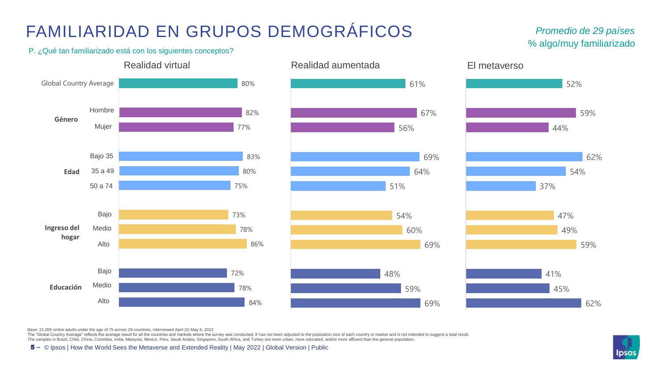### FAMILIARIDAD EN GRUPOS DEMOGRÁFICOS

#### % algo/muy familiarizado *Promedio de 29 países*

P. ¿Qué tan familiarizado está con los siguientes conceptos?







Base: 21,005 online adults under the age of 75 across 29 countries, interviewed April 22-May 6, 2022

The "Global Country Average" reflects the average result for all the countries and markets where the survey was conducted. It has not been adjusted to the population size of each country or market and is not intended to su

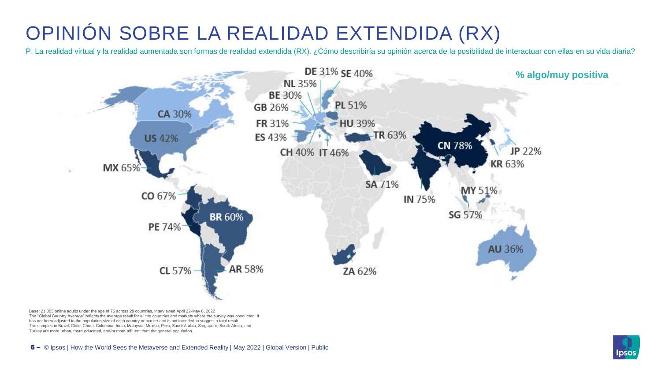## OPINIÓN SOBRE LA REALIDAD EXTENDIDA (RX)

P. La realidad virtual y la realidad aumentada son formas de realidad extendida (RX). ¿Cómo describiría su opinión acerca de la posibilidad de interactuar con ellas en su vida diaria?



Base: 21,005 online adults under the age of 75 across 29 countries, interviewed April 22-May 6, 2022 The "Global Country Average" reflects the average result for all the countries and markets where the survey was conducted. It has not been adjusted to the population size of each country or market and is not intended to suggest a total result. The samples in Brazil, Chile, China, Colombia, India, Malaysia, Mexico, Peru, Saudi Arabia, Singapore, South Africa, and Turkey are more urban, more educated, and/or more affluent than the general population.

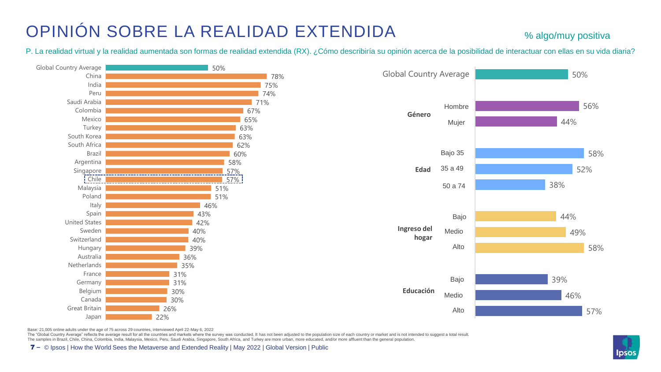#### OPINIÓN SOBRE LA REALIDAD EXTENDIDA

#### % algo/muy positiva

P. La realidad virtual y la realidad aumentada son formas de realidad extendida (RX). ¿Cómo describiría su opinión acerca de la posibilidad de interactuar con ellas en su vida diaria?





Base: 21,005 online adults under the age of 75 across 29 countries, interviewed April 22-May 6, 2022

The "Global Country Average" reflects the average result for all the countries and markets where the survey was conducted. It has not been adjusted to the population size of each country or market and is not intended to su The samples in Brazil, Chile, China, Colombia, India, Malaysia, Mexico, Peru, Saudi Arabia, Singapore, South Africa, and Turkey are more urban, more educated, and/or more affluent than the general population.

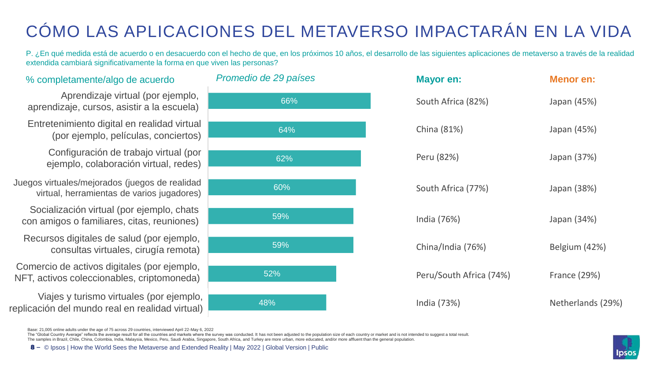### CÓMO LAS APLICACIONES DEL METAVERSO IMPACTARÁN EN LA VIDA

P. ¿En qué medida está de acuerdo o en desacuerdo con el hecho de que, en los próximos 10 años, el desarrollo de las siguientes aplicaciones de metaverso a través de la realidad extendida cambiará significativamente la forma en que viven las personas?

|         | Promedio de 29 países |
|---------|-----------------------|
|         | 66%                   |
| I       | 64%                   |
|         | 62%                   |
| ł<br>١  | 60%                   |
|         | 59%                   |
|         | 59%                   |
|         | 52%                   |
| ۱,<br>λ | 48%                   |

| <b>Mayor en:</b>        | <b>Menor en:</b>    |
|-------------------------|---------------------|
| South Africa (82%)      | Japan (45%)         |
| China (81%)             | Japan (45%)         |
| Peru (82%)              | Japan (37%)         |
| South Africa (77%)      | Japan (38%)         |
| India (76%)             | Japan (34%)         |
| China/India (76%)       | Belgium (42%)       |
| Peru/South Africa (74%) | <b>France (29%)</b> |
| India (73%)             | Netherlands (29%)   |

Entretenimiento digital en realidad virtual (por ejemplo, películas, conciertos) Aprendizaje virtual (por ejemplo, aprendizaje, cursos, asistir a la escuela)

% completamente/algo de acuerdo *Promedio de 29 países* **Mayor en: Menor en:**

Configuración de trabajo virtual (por ejemplo, colaboración virtual, redes)

Juegos virtuales/mejorados (juegos de realidad virtual, herramientas de varios jugadores)

Socialización virtual (por ejemplo, chats con amigos o familiares, citas, reuniones)

Recursos digitales de salud (por ejemplo, consultas virtuales, cirugía remota)

Comercio de activos digitales (por ejemplo, NFT, activos coleccionables, criptomoneda)

Viajes y turismo virtuales (por ejemplo, replicación del mundo real en realidad virtual)

Base: 21,005 online adults under the age of 75 across 29 countries, interviewed April 22-May 6, 2022

The "Global Country Average" reflects the average result for all the countries and markets where the survey was conducted. It has not been adjusted to the population size of each country or market and is not intended to su The samples in Brazil, Chile, China, Colombia, India, Malaysia, Mexico, Peru, Saudi Arabia, Singapore, South Africa, and Turkey are more urban, more educated, and/or more affluent than the general population.

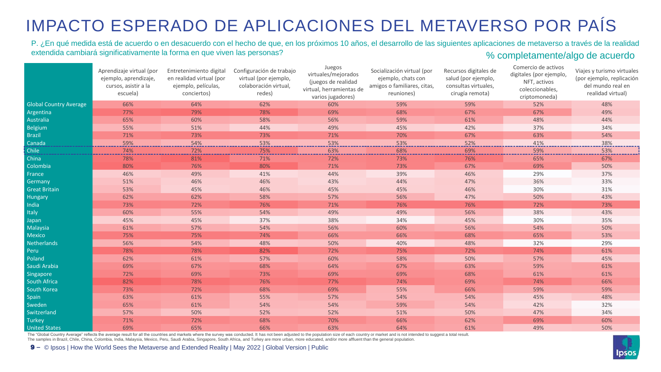#### IMPACTO ESPERADO DE APLICACIONES DEL METAVERSO POR PAÍS

#### P. ¿En qué medida está de acuerdo o en desacuerdo con el hecho de que, en los próximos 10 años, el desarrollo de las siguientes aplicaciones de metaverso a través de la realidad extendida cambiará significativamente la forma en que viven las personas?<br>
We completamente/algo de acuerdo

|                               | Aprendizaje virtual (por<br>ejemplo, aprendizaje,<br>cursos, asistir a la<br>escuela) | Entretenimiento digital<br>en realidad virtual (por<br>ejemplo, películas,<br>conciertos) | Configuración de trabajo<br>virtual (por ejemplo,<br>colaboración virtual,<br>redes) | Juegos<br>virtuales/mejorados<br>(juegos de realidad<br>virtual, herramientas de<br>varios jugadores) | Socialización virtual (por<br>ejemplo, chats con<br>amigos o familiares, citas,<br>reuniones) | Recursos digitales de<br>salud (por ejemplo,<br>consultas virtuales,<br>cirugía remota) | Comercio de activos<br>digitales (por ejemplo,<br>NFT, activos<br>coleccionables,<br>criptomoneda) | Viajes y turismo virtuales<br>(por ejemplo, replicación<br>del mundo real en<br>realidad virtual) |
|-------------------------------|---------------------------------------------------------------------------------------|-------------------------------------------------------------------------------------------|--------------------------------------------------------------------------------------|-------------------------------------------------------------------------------------------------------|-----------------------------------------------------------------------------------------------|-----------------------------------------------------------------------------------------|----------------------------------------------------------------------------------------------------|---------------------------------------------------------------------------------------------------|
| <b>Global Country Average</b> | 66%                                                                                   | 64%                                                                                       | 62%                                                                                  | 60%                                                                                                   | 59%                                                                                           | 59%                                                                                     | 52%                                                                                                | 48%                                                                                               |
| Argentina                     | 77%                                                                                   | 79%                                                                                       | 78%                                                                                  | 69%                                                                                                   | 68%                                                                                           | 67%                                                                                     | 67%                                                                                                | 49%                                                                                               |
| Australia                     | 65%                                                                                   | 60%                                                                                       | 58%                                                                                  | 56%                                                                                                   | 59%                                                                                           | 61%                                                                                     | 48%                                                                                                | 44%                                                                                               |
| Belgium                       | 55%                                                                                   | 51%                                                                                       | 44%                                                                                  | 49%                                                                                                   | 45%                                                                                           | 42%                                                                                     | 37%                                                                                                | 34%                                                                                               |
| <b>Brazil</b>                 | 71%                                                                                   | 73%                                                                                       | 73%                                                                                  | 71%                                                                                                   | 70%                                                                                           | 67%                                                                                     | 63%                                                                                                | 54%                                                                                               |
| Canada                        | 59%                                                                                   | .54%                                                                                      | 53%                                                                                  | 53%                                                                                                   | 53%                                                                                           | 52%                                                                                     | 41%                                                                                                | 38%                                                                                               |
| Chile                         | 74%                                                                                   | 72%                                                                                       | 75%                                                                                  | 63%                                                                                                   | 68%                                                                                           | 69%                                                                                     | 59%                                                                                                | 53%                                                                                               |
| China                         | 78%                                                                                   | 81%                                                                                       | 71%                                                                                  | 72%                                                                                                   | 73%                                                                                           | 76%                                                                                     | 65%                                                                                                | 67%                                                                                               |
| Colombia                      | 80%                                                                                   | 76%                                                                                       | 80%                                                                                  | 71%                                                                                                   | 73%                                                                                           | 67%                                                                                     | 69%                                                                                                | 50%                                                                                               |
| France                        | 46%                                                                                   | 49%                                                                                       | 41%                                                                                  | 44%                                                                                                   | 39%                                                                                           | 46%                                                                                     | 29%                                                                                                | 37%                                                                                               |
| Germany                       | 51%                                                                                   | 46%                                                                                       | 46%                                                                                  | 43%                                                                                                   | 44%                                                                                           | 47%                                                                                     | 36%                                                                                                | 33%                                                                                               |
| <b>Great Britain</b>          | 53%                                                                                   | 45%                                                                                       | 46%                                                                                  | 45%                                                                                                   | 45%                                                                                           | 46%                                                                                     | 30%                                                                                                | 31%                                                                                               |
| Hungary                       | 62%                                                                                   | 62%                                                                                       | 58%                                                                                  | 57%                                                                                                   | 56%                                                                                           | 47%                                                                                     | 50%                                                                                                | 43%                                                                                               |
| India                         | 73%                                                                                   | 72%                                                                                       | 76%                                                                                  | 71%                                                                                                   | 76%                                                                                           | 76%                                                                                     | 72%                                                                                                | 73%                                                                                               |
| Italy                         | 60%                                                                                   | 55%                                                                                       | 54%                                                                                  | 49%                                                                                                   | 49%                                                                                           | 56%                                                                                     | 38%                                                                                                | 43%                                                                                               |
| Japan                         | 45%                                                                                   | 45%                                                                                       | 37%                                                                                  | 38%                                                                                                   | 34%                                                                                           | 45%                                                                                     | 30%                                                                                                | 35%                                                                                               |
| Malaysia                      | 61%                                                                                   | 57%                                                                                       | 54%                                                                                  | 56%                                                                                                   | 60%                                                                                           | 56%                                                                                     | 54%                                                                                                | 50%                                                                                               |
| Mexico                        | 75%                                                                                   | 75%                                                                                       | 74%                                                                                  | 66%                                                                                                   | 66%                                                                                           | 68%                                                                                     | 65%                                                                                                | 53%                                                                                               |
| <b>Netherlands</b>            | 56%                                                                                   | 54%                                                                                       | 48%                                                                                  | 50%                                                                                                   | 40%                                                                                           | 48%                                                                                     | 32%                                                                                                | 29%                                                                                               |
| Peru                          | 78%                                                                                   | 78%                                                                                       | 82%                                                                                  | 72%                                                                                                   | 75%                                                                                           | 72%                                                                                     | 74%                                                                                                | 61%                                                                                               |
| Poland                        | 62%                                                                                   | 61%                                                                                       | 57%                                                                                  | 60%                                                                                                   | 58%                                                                                           | 50%                                                                                     | 57%                                                                                                | 45%                                                                                               |
| Saudi Arabia                  | 69%                                                                                   | 67%                                                                                       | 68%                                                                                  | 64%                                                                                                   | 67%                                                                                           | 63%                                                                                     | 59%                                                                                                | 61%                                                                                               |
| Singapore                     | 72%                                                                                   | 69%                                                                                       | 73%                                                                                  | 69%                                                                                                   | 69%                                                                                           | 68%                                                                                     | 61%                                                                                                | 61%                                                                                               |
| <b>South Africa</b>           | 82%                                                                                   | 78%                                                                                       | 76%                                                                                  | 77%                                                                                                   | 74%                                                                                           | 69%                                                                                     | 74%                                                                                                | 66%                                                                                               |
| South Korea                   | 73%                                                                                   | 72%                                                                                       | 68%                                                                                  | 69%                                                                                                   | 55%                                                                                           | 66%                                                                                     | 59%                                                                                                | 59%                                                                                               |
| Spain                         | 63%                                                                                   | 61%                                                                                       | 55%                                                                                  | 57%                                                                                                   | 54%                                                                                           | 54%                                                                                     | 45%                                                                                                | 48%                                                                                               |
| Sweden                        | 65%                                                                                   | 61%                                                                                       | 54%                                                                                  | 54%                                                                                                   | 59%                                                                                           | 54%                                                                                     | 42%                                                                                                | 32%                                                                                               |
| Switzerland                   | 57%                                                                                   | 50%                                                                                       | 52%                                                                                  | 52%                                                                                                   | 51%                                                                                           | 50%                                                                                     | 47%                                                                                                | 34%                                                                                               |
| Turkey                        | 71%                                                                                   | 72%                                                                                       | 68%                                                                                  | 70%                                                                                                   | 66%                                                                                           | 62%                                                                                     | 69%                                                                                                | 60%                                                                                               |
| <b>United States</b>          | 69%                                                                                   | 65%                                                                                       | 66%                                                                                  | 63%                                                                                                   | 64%                                                                                           | 61%                                                                                     | 49%                                                                                                | 50%                                                                                               |

The "Global Country Average" reflects the average result for all the countries and markets where the survey was conducted. It has not been adjusted to the population size of each country or market and is not intended to su

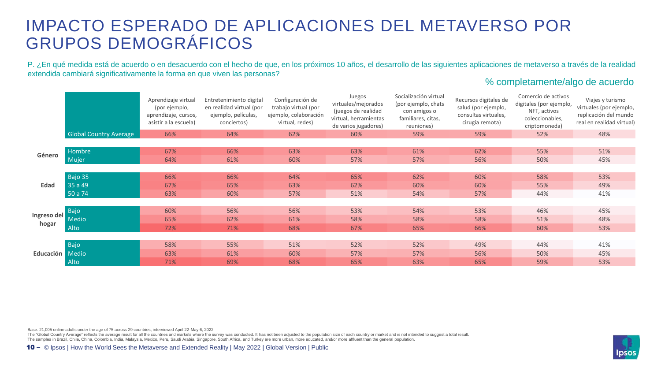#### IMPACTO ESPERADO DE APLICACIONES DEL METAVERSO POR GRUPOS DEMOGRÁFICOS

P. ¿En qué medida está de acuerdo o en desacuerdo con el hecho de que, en los próximos 10 años, el desarrollo de las siguientes aplicaciones de metaverso a través de la realidad extendida cambiará significativamente la forma en que viven las personas?

#### % completamente/algo de acuerdo

|             |                               | Aprendizaje virtual<br>(por ejemplo,<br>aprendizaje, cursos,<br>asistir a la escuela) | Entretenimiento digital<br>en realidad virtual (por<br>ejemplo, películas,<br>conciertos) | Configuración de<br>trabajo virtual (por<br>ejemplo, colaboración<br>virtual, redes) | Juegos<br>virtuales/mejorados<br>(juegos de realidad<br>virtual, herramientas<br>de varios jugadores) | Socialización virtual<br>(por ejemplo, chats<br>con amigos o<br>familiares, citas,<br>reuniones) | Recursos digitales de<br>salud (por ejemplo,<br>consultas virtuales,<br>cirugía remota) | Comercio de activos<br>digitales (por ejemplo,<br>NFT, activos<br>coleccionables,<br>criptomoneda) | Viajes y turismo<br>virtuales (por ejemplo,<br>replicación del mundo<br>real en realidad virtual) |
|-------------|-------------------------------|---------------------------------------------------------------------------------------|-------------------------------------------------------------------------------------------|--------------------------------------------------------------------------------------|-------------------------------------------------------------------------------------------------------|--------------------------------------------------------------------------------------------------|-----------------------------------------------------------------------------------------|----------------------------------------------------------------------------------------------------|---------------------------------------------------------------------------------------------------|
|             | <b>Global Country Average</b> | 66%                                                                                   | 64%                                                                                       | 62%                                                                                  | 60%                                                                                                   | 59%                                                                                              | 59%                                                                                     | 52%                                                                                                | 48%                                                                                               |
|             |                               |                                                                                       |                                                                                           |                                                                                      |                                                                                                       |                                                                                                  |                                                                                         |                                                                                                    |                                                                                                   |
| Género      | Hombre                        | 67%                                                                                   | 66%                                                                                       | 63%                                                                                  | 63%                                                                                                   | 61%                                                                                              | 62%                                                                                     | 55%                                                                                                | 51%                                                                                               |
|             | Mujer                         | 64%                                                                                   | 61%                                                                                       | 60%                                                                                  | 57%                                                                                                   | 57%                                                                                              | 56%                                                                                     | 50%                                                                                                | 45%                                                                                               |
|             |                               |                                                                                       |                                                                                           |                                                                                      |                                                                                                       |                                                                                                  |                                                                                         |                                                                                                    |                                                                                                   |
|             | Bajo 35                       | 66%                                                                                   | 66%                                                                                       | 64%                                                                                  | 65%                                                                                                   | 62%                                                                                              | 60%                                                                                     | 58%                                                                                                | 53%                                                                                               |
| Edad        | 35a49                         | 67%                                                                                   | 65%                                                                                       | 63%                                                                                  | 62%                                                                                                   | 60%                                                                                              | 60%                                                                                     | 55%                                                                                                | 49%                                                                                               |
|             | 50 a 74                       | 63%                                                                                   | 60%                                                                                       | 57%                                                                                  | 51%                                                                                                   | 54%                                                                                              | 57%                                                                                     | 44%                                                                                                | 41%                                                                                               |
|             |                               |                                                                                       |                                                                                           |                                                                                      |                                                                                                       |                                                                                                  |                                                                                         |                                                                                                    |                                                                                                   |
|             | Bajo                          | 60%                                                                                   | 56%                                                                                       | 56%                                                                                  | 53%                                                                                                   | 54%                                                                                              | 53%                                                                                     | 46%                                                                                                | 45%                                                                                               |
| Ingreso del | <b>Medio</b>                  | 65%                                                                                   | 62%                                                                                       | 61%                                                                                  | 58%                                                                                                   | 58%                                                                                              | 58%                                                                                     | 51%                                                                                                | 48%                                                                                               |
| hogar       | Alto                          | 72%                                                                                   | 71%                                                                                       | 68%                                                                                  | 67%                                                                                                   | 65%                                                                                              | 66%                                                                                     | 60%                                                                                                | 53%                                                                                               |
|             |                               |                                                                                       |                                                                                           |                                                                                      |                                                                                                       |                                                                                                  |                                                                                         |                                                                                                    |                                                                                                   |
|             | Bajo                          | 58%                                                                                   | 55%                                                                                       | 51%                                                                                  | 52%                                                                                                   | 52%                                                                                              | 49%                                                                                     | 44%                                                                                                | 41%                                                                                               |
| Educación   | Medio                         | 63%                                                                                   | 61%                                                                                       | 60%                                                                                  | 57%                                                                                                   | 57%                                                                                              | 56%                                                                                     | 50%                                                                                                | 45%                                                                                               |
|             | Alto                          | 71%                                                                                   | 69%                                                                                       | 68%                                                                                  | 65%                                                                                                   | 63%                                                                                              | 65%                                                                                     | 59%                                                                                                | 53%                                                                                               |

Base: 21,005 online adults under the age of 75 across 29 countries, interviewed April 22-May 6, 2022

The "Global Country Average" reflects the average result for all the countries and markets where the survey was conducted. It has not been adjusted to the population size of each country or market and is not intended to su The samples in Brazil, Chile, China, Colombia, India, Malaysia, Mexico, Peru, Saudi Arabia, Singapore, South Africa, and Turkey are more urban, more educated, and/or more affluent than the general population.

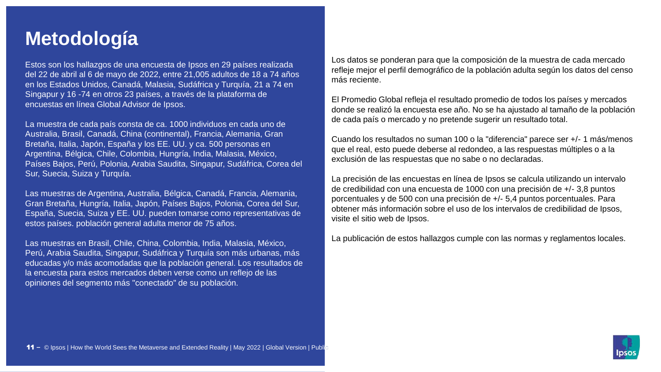#### **Metodología**

Estos son los hallazgos de una encuesta de Ipsos en 29 países realizada del 22 de abril al 6 de mayo de 2022, entre 21,005 adultos de 18 a 74 años en los Estados Unidos, Canadá, Malasia, Sudáfrica y Turquía, 21 a 74 en Singapur y 16 -74 en otros 23 países, a través de la plataforma de encuestas en línea Global Advisor de Ipsos.

La muestra de cada país consta de ca. 1000 individuos en cada uno de Australia, Brasil, Canadá, China (continental), Francia, Alemania, Gran Bretaña, Italia, Japón, España y los EE. UU. y ca. 500 personas en Argentina, Bélgica, Chile, Colombia, Hungría, India, Malasia, México, Países Bajos, Perú, Polonia, Arabia Saudita, Singapur, Sudáfrica, Corea del Sur, Suecia, Suiza y Turquía.

Las muestras de Argentina, Australia, Bélgica, Canadá, Francia, Alemania, Gran Bretaña, Hungría, Italia, Japón, Países Bajos, Polonia, Corea del Sur, España, Suecia, Suiza y EE. UU. pueden tomarse como representativas de estos países. población general adulta menor de 75 años.

Las muestras en Brasil, Chile, China, Colombia, India, Malasia, México, Perú, Arabia Saudita, Singapur, Sudáfrica y Turquía son más urbanas, más educadas y/o más acomodadas que la población general. Los resultados de la encuesta para estos mercados deben verse como un reflejo de las opiniones del segmento más "conectado" de su población.

Los datos se ponderan para que la composición de la muestra de cada mercado refleje mejor el perfil demográfico de la población adulta según los datos del censo más reciente.

El Promedio Global refleja el resultado promedio de todos los países y mercados donde se realizó la encuesta ese año. No se ha ajustado al tamaño de la población de cada país o mercado y no pretende sugerir un resultado total.

Cuando los resultados no suman 100 o la "diferencia" parece ser +/- 1 más/menos que el real, esto puede deberse al redondeo, a las respuestas múltiples o a la exclusión de las respuestas que no sabe o no declaradas.

La precisión de las encuestas en línea de Ipsos se calcula utilizando un intervalo de credibilidad con una encuesta de 1000 con una precisión de +/- 3,8 puntos porcentuales y de 500 con una precisión de +/- 5,4 puntos porcentuales. Para obtener más información sobre el uso de los intervalos de credibilidad de Ipsos, visite el sitio web de Ipsos.

La publicación de estos hallazgos cumple con las normas y reglamentos locales.